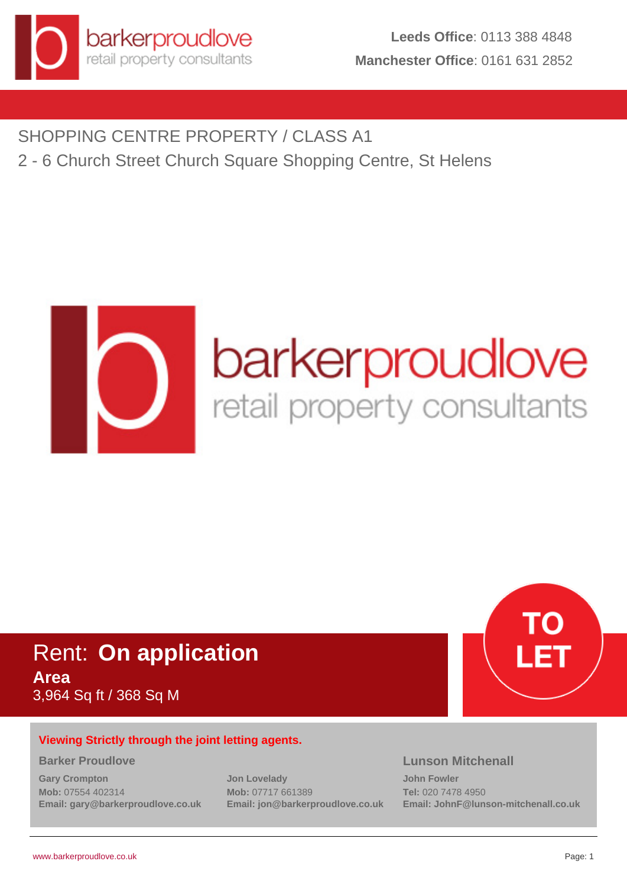

SHOPPING CENTRE PROPERTY / CLASS A1 2 - 6 Church Street Church Square Shopping Centre, St Helens



# Rent: **On application Area** 3,964 Sq ft / 368 Sq M



# **Viewing Strictly through the joint letting agents.**

#### **Barker Proudlove**

**Gary Crompton Mob:** 07554 402314 **Email: gary@barkerproudlove.co.uk** **Jon Lovelady Mob:** 07717 661389 **Email: jon@barkerproudlove.co.uk**

# **Lunson Mitchenall**

**John Fowler Tel:** 020 7478 4950 **Email: JohnF@lunson-mitchenall.co.uk**